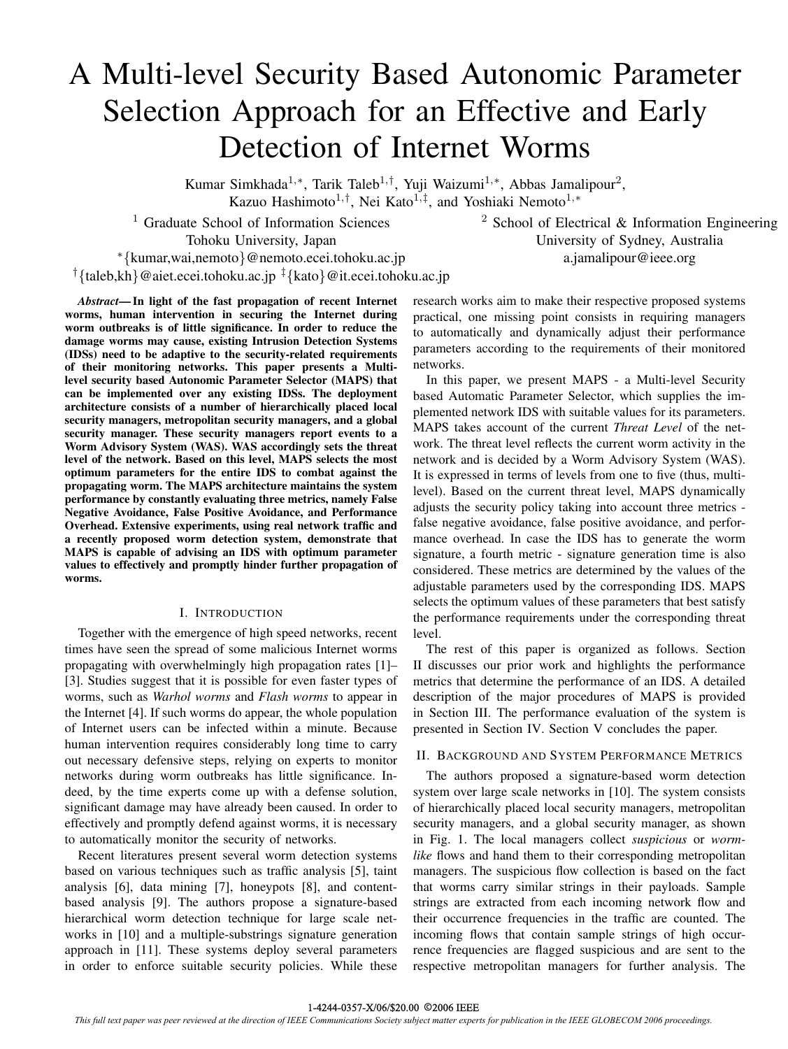# A Multi-level Security Based Autonomic Parameter Selection Approach for an Effective and Early Detection of Internet Worms

Kumar Simkhada1*,*∗, Tarik Taleb1*,*†, Yuji Waizumi1*,*∗, Abbas Jamalipour2, Kazuo Hashimoto<sup>1,†</sup>, Nei Kato<sup>1,‡</sup>, and Yoshiaki Nemoto<sup>1,∗</sup>

<sup>1</sup> Graduate School of Information Sciences <sup>2</sup> School of Electrical & Information Engineering Tohoku University, Japan University of Sydney, Australia ∗{kumar,wai,nemoto}@nemoto.ecei.tohoku.ac.jp a.jamalipour@ieee.org

<sup>†</sup>{taleb,kh}@aiet.ecei.tohoku.ac.jp <sup>‡</sup>{kato}@it.ecei.tohoku.ac.jp

*Abstract***— In light of the fast propagation of recent Internet worms, human intervention in securing the Internet during worm outbreaks is of little significance. In order to reduce the damage worms may cause, existing Intrusion Detection Systems (IDSs) need to be adaptive to the security-related requirements of their monitoring networks. This paper presents a Multilevel security based Autonomic Parameter Selector (MAPS) that can be implemented over any existing IDSs. The deployment architecture consists of a number of hierarchically placed local security managers, metropolitan security managers, and a global security manager. These security managers report events to a Worm Advisory System (WAS). WAS accordingly sets the threat level of the network. Based on this level, MAPS selects the most optimum parameters for the entire IDS to combat against the propagating worm. The MAPS architecture maintains the system performance by constantly evaluating three metrics, namely False Negative Avoidance, False Positive Avoidance, and Performance Overhead. Extensive experiments, using real network traffic and a recently proposed worm detection system, demonstrate that MAPS is capable of advising an IDS with optimum parameter values to effectively and promptly hinder further propagation of worms.**

# I. INTRODUCTION

Together with the emergence of high speed networks, recent times have seen the spread of some malicious Internet worms propagating with overwhelmingly high propagation rates [1]– [3]. Studies suggest that it is possible for even faster types of worms, such as *Warhol worms* and *Flash worms* to appear in the Internet [4]. If such worms do appear, the whole population of Internet users can be infected within a minute. Because human intervention requires considerably long time to carry out necessary defensive steps, relying on experts to monitor networks during worm outbreaks has little significance. Indeed, by the time experts come up with a defense solution, significant damage may have already been caused. In order to effectively and promptly defend against worms, it is necessary to automatically monitor the security of networks.

Recent literatures present several worm detection systems based on various techniques such as traffic analysis [5], taint analysis [6], data mining [7], honeypots [8], and contentbased analysis [9]. The authors propose a signature-based hierarchical worm detection technique for large scale networks in [10] and a multiple-substrings signature generation approach in [11]. These systems deploy several parameters in order to enforce suitable security policies. While these

research works aim to make their respective proposed systems practical, one missing point consists in requiring managers to automatically and dynamically adjust their performance parameters according to the requirements of their monitored networks.

In this paper, we present MAPS - a Multi-level Security based Automatic Parameter Selector, which supplies the implemented network IDS with suitable values for its parameters. MAPS takes account of the current *Threat Level* of the network. The threat level reflects the current worm activity in the network and is decided by a Worm Advisory System (WAS). It is expressed in terms of levels from one to five (thus, multilevel). Based on the current threat level, MAPS dynamically adjusts the security policy taking into account three metrics false negative avoidance, false positive avoidance, and performance overhead. In case the IDS has to generate the worm signature, a fourth metric - signature generation time is also considered. These metrics are determined by the values of the adjustable parameters used by the corresponding IDS. MAPS selects the optimum values of these parameters that best satisfy the performance requirements under the corresponding threat level.

The rest of this paper is organized as follows. Section II discusses our prior work and highlights the performance metrics that determine the performance of an IDS. A detailed description of the major procedures of MAPS is provided in Section III. The performance evaluation of the system is presented in Section IV. Section V concludes the paper.

# II. BACKGROUND AND SYSTEM PERFORMANCE METRICS

The authors proposed a signature-based worm detection system over large scale networks in [10]. The system consists of hierarchically placed local security managers, metropolitan security managers, and a global security manager, as shown in Fig. 1. The local managers collect *suspicious* or *wormlike* flows and hand them to their corresponding metropolitan managers. The suspicious flow collection is based on the fact that worms carry similar strings in their payloads. Sample strings are extracted from each incoming network flow and their occurrence frequencies in the traffic are counted. The incoming flows that contain sample strings of high occurrence frequencies are flagged suspicious and are sent to the respective metropolitan managers for further analysis. The

#### 1-4244-0357-X/06/\$20.00 2006 IEEE ©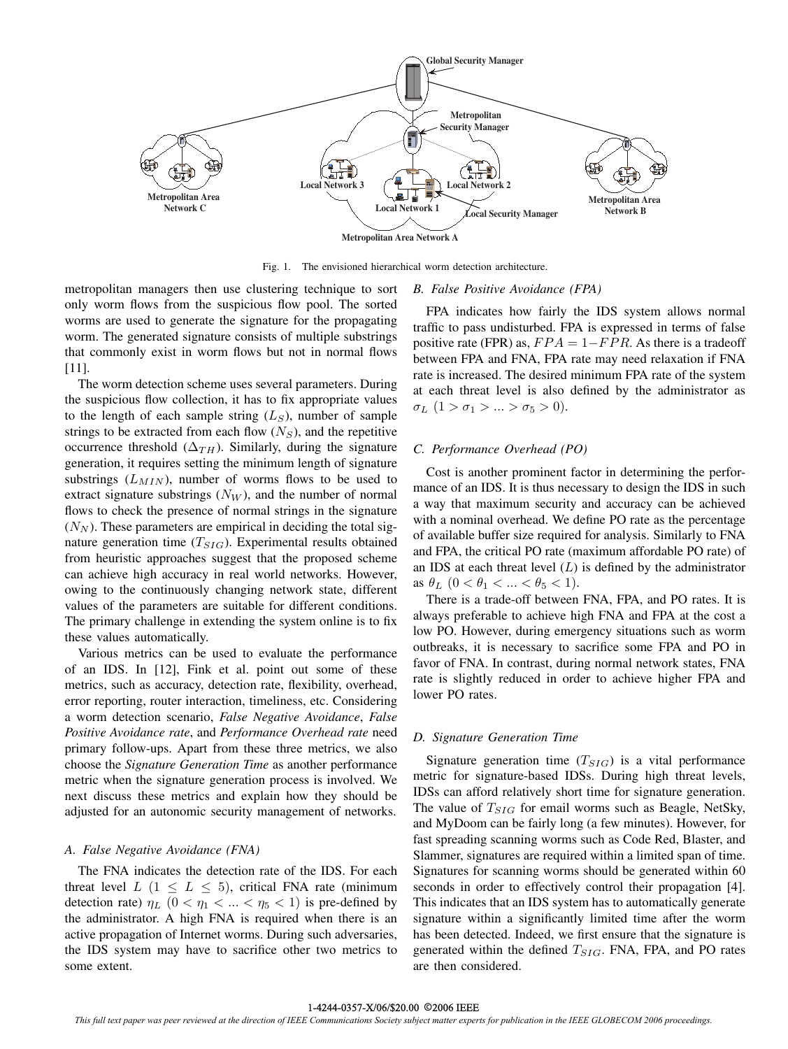

Fig. 1. The envisioned hierarchical worm detection architecture.

metropolitan managers then use clustering technique to sort only worm flows from the suspicious flow pool. The sorted worms are used to generate the signature for the propagating worm. The generated signature consists of multiple substrings that commonly exist in worm flows but not in normal flows [11].

The worm detection scheme uses several parameters. During the suspicious flow collection, it has to fix appropriate values to the length of each sample string  $(L<sub>S</sub>)$ , number of sample strings to be extracted from each flow  $(N<sub>S</sub>)$ , and the repetitive occurrence threshold  $(\Delta_{TH})$ . Similarly, during the signature generation, it requires setting the minimum length of signature substrings  $(L_{MIN})$ , number of worms flows to be used to extract signature substrings  $(N_W)$ , and the number of normal flows to check the presence of normal strings in the signature  $(N_N)$ . These parameters are empirical in deciding the total signature generation time  $(T_{SIG})$ . Experimental results obtained from heuristic approaches suggest that the proposed scheme can achieve high accuracy in real world networks. However, owing to the continuously changing network state, different values of the parameters are suitable for different conditions. The primary challenge in extending the system online is to fix these values automatically.

Various metrics can be used to evaluate the performance of an IDS. In [12], Fink et al. point out some of these metrics, such as accuracy, detection rate, flexibility, overhead, error reporting, router interaction, timeliness, etc. Considering a worm detection scenario, *False Negative Avoidance*, *False Positive Avoidance rate*, and *Performance Overhead rate* need primary follow-ups. Apart from these three metrics, we also choose the *Signature Generation Time* as another performance metric when the signature generation process is involved. We next discuss these metrics and explain how they should be adjusted for an autonomic security management of networks.

# *A. False Negative Avoidance (FNA)*

The FNA indicates the detection rate of the IDS. For each threat level  $L$  (1  $\leq L \leq 5$ ), critical FNA rate (minimum detection rate)  $\eta_L$  ( $0 < \eta_1 < ... < \eta_5 < 1$ ) is pre-defined by the administrator. A high FNA is required when there is an active propagation of Internet worms. During such adversaries, the IDS system may have to sacrifice other two metrics to some extent.

FPA indicates how fairly the IDS system allows normal traffic to pass undisturbed. FPA is expressed in terms of false positive rate (FPR) as,  $FPA = 1 - FPR$ . As there is a tradeoff between FPA and FNA, FPA rate may need relaxation if FNA rate is increased. The desired minimum FPA rate of the system at each threat level is also defined by the administrator as  $\sigma_L$   $(1 > \sigma_1 > ... > \sigma_5 > 0).$ 

## *C. Performance Overhead (PO)*

*B. False Positive Avoidance (FPA)*

Cost is another prominent factor in determining the performance of an IDS. It is thus necessary to design the IDS in such a way that maximum security and accuracy can be achieved with a nominal overhead. We define PO rate as the percentage of available buffer size required for analysis. Similarly to FNA and FPA, the critical PO rate (maximum affordable PO rate) of an IDS at each threat level  $(L)$  is defined by the administrator as  $\theta_L$  (0 <  $\theta_1$  < ... <  $\theta_5$  < 1).

There is a trade-off between FNA, FPA, and PO rates. It is always preferable to achieve high FNA and FPA at the cost a low PO. However, during emergency situations such as worm outbreaks, it is necessary to sacrifice some FPA and PO in favor of FNA. In contrast, during normal network states, FNA rate is slightly reduced in order to achieve higher FPA and lower PO rates.

#### *D. Signature Generation Time*

Signature generation time  $(T_{SIG})$  is a vital performance metric for signature-based IDSs. During high threat levels, IDSs can afford relatively short time for signature generation. The value of  $T_{SIG}$  for email worms such as Beagle, NetSky, and MyDoom can be fairly long (a few minutes). However, for fast spreading scanning worms such as Code Red, Blaster, and Slammer, signatures are required within a limited span of time. Signatures for scanning worms should be generated within 60 seconds in order to effectively control their propagation [4]. This indicates that an IDS system has to automatically generate signature within a significantly limited time after the worm has been detected. Indeed, we first ensure that the signature is generated within the defined  $T_{SIG}$ . FNA, FPA, and PO rates are then considered.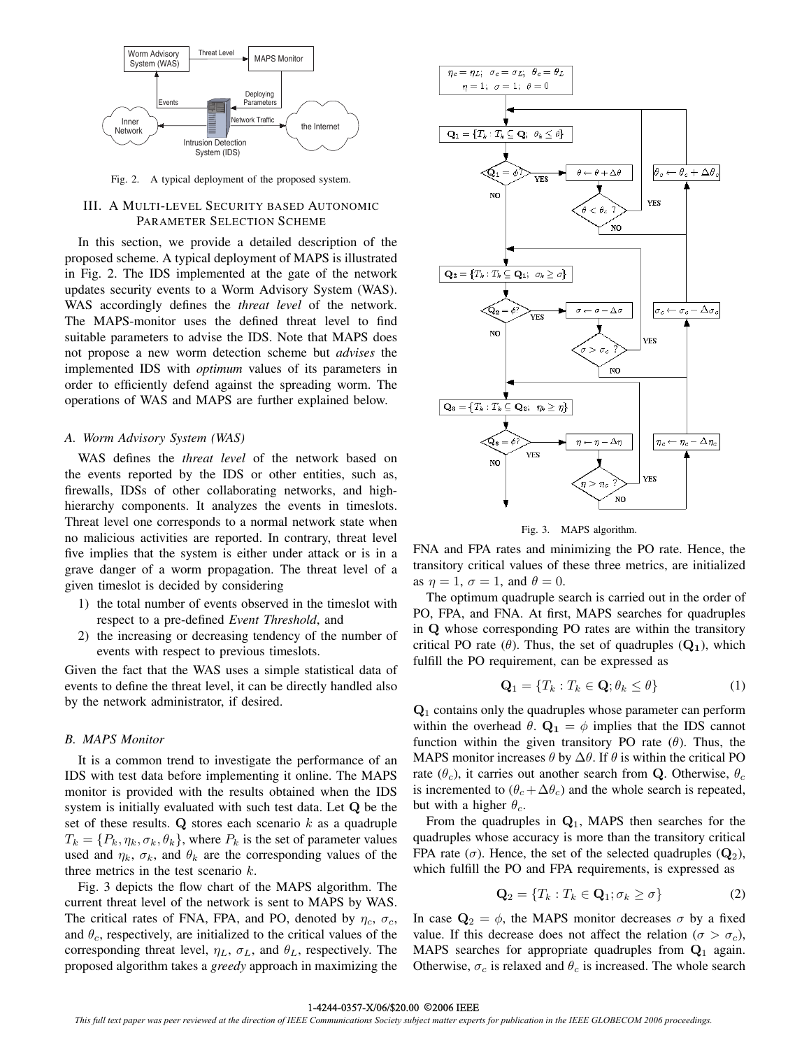

Fig. 2. A typical deployment of the proposed system.

## III. A MULTI-LEVEL SECURITY BASED AUTONOMIC PARAMETER SELECTION SCHEME

In this section, we provide a detailed description of the proposed scheme. A typical deployment of MAPS is illustrated in Fig. 2. The IDS implemented at the gate of the network updates security events to a Worm Advisory System (WAS). WAS accordingly defines the *threat level* of the network. The MAPS-monitor uses the defined threat level to find suitable parameters to advise the IDS. Note that MAPS does not propose a new worm detection scheme but *advises* the implemented IDS with *optimum* values of its parameters in order to efficiently defend against the spreading worm. The operations of WAS and MAPS are further explained below.

## *A. Worm Advisory System (WAS)*

WAS defines the *threat level* of the network based on the events reported by the IDS or other entities, such as, firewalls, IDSs of other collaborating networks, and highhierarchy components. It analyzes the events in timeslots. Threat level one corresponds to a normal network state when no malicious activities are reported. In contrary, threat level five implies that the system is either under attack or is in a grave danger of a worm propagation. The threat level of a given timeslot is decided by considering

- 1) the total number of events observed in the timeslot with respect to a pre-defined *Event Threshold*, and
- 2) the increasing or decreasing tendency of the number of events with respect to previous timeslots.

Given the fact that the WAS uses a simple statistical data of events to define the threat level, it can be directly handled also by the network administrator, if desired.

#### *B. MAPS Monitor*

It is a common trend to investigate the performance of an IDS with test data before implementing it online. The MAPS monitor is provided with the results obtained when the IDS system is initially evaluated with such test data. Let **Q** be the set of these results.  $Q$  stores each scenario  $k$  as a quadruple  $T_k = \{P_k, \eta_k, \sigma_k, \theta_k\}$ , where  $P_k$  is the set of parameter values used and  $\eta_k$ ,  $\sigma_k$ , and  $\theta_k$  are the corresponding values of the three metrics in the test scenario k.

Fig. 3 depicts the flow chart of the MAPS algorithm. The current threat level of the network is sent to MAPS by WAS. The critical rates of FNA, FPA, and PO, denoted by  $\eta_c$ ,  $\sigma_c$ , and  $\theta_c$ , respectively, are initialized to the critical values of the corresponding threat level,  $\eta_L$ ,  $\sigma_L$ , and  $\theta_L$ , respectively. The proposed algorithm takes a *greedy* approach in maximizing the



Fig. 3. MAPS algorithm.

FNA and FPA rates and minimizing the PO rate. Hence, the transitory critical values of these three metrics, are initialized as  $\eta = 1$ ,  $\sigma = 1$ , and  $\theta = 0$ .

The optimum quadruple search is carried out in the order of PO, FPA, and FNA. At first, MAPS searches for quadruples in **Q** whose corresponding PO rates are within the transitory critical PO rate  $(\theta)$ . Thus, the set of quadruples  $(Q_1)$ , which fulfill the PO requirement, can be expressed as

$$
\mathbf{Q}_1 = \{ T_k : T_k \in \mathbf{Q}; \theta_k \le \theta \} \tag{1}
$$

**Q**<sup>1</sup> contains only the quadruples whose parameter can perform within the overhead  $\theta$ .  $\mathbf{Q}_1 = \phi$  implies that the IDS cannot function within the given transitory PO rate  $(\theta)$ . Thus, the MAPS monitor increases  $\theta$  by  $\Delta\theta$ . If  $\theta$  is within the critical PO rate ( $\theta_c$ ), it carries out another search from **Q**. Otherwise,  $\theta_c$ is incremented to  $(\theta_c + \Delta \theta_c)$  and the whole search is repeated, but with a higher  $\theta_c$ .

From the quadruples in **Q**1, MAPS then searches for the quadruples whose accuracy is more than the transitory critical FPA rate  $(\sigma)$ . Hence, the set of the selected quadruples  $(Q_2)$ , which fulfill the PO and FPA requirements, is expressed as

$$
\mathbf{Q}_2 = \{T_k : T_k \in \mathbf{Q}_1; \sigma_k \ge \sigma\} \tag{2}
$$

In case  $\mathbf{Q}_2 = \phi$ , the MAPS monitor decreases  $\sigma$  by a fixed value. If this decrease does not affect the relation ( $\sigma > \sigma_c$ ), MAPS searches for appropriate quadruples from **Q**<sup>1</sup> again. Otherwise,  $\sigma_c$  is relaxed and  $\theta_c$  is increased. The whole search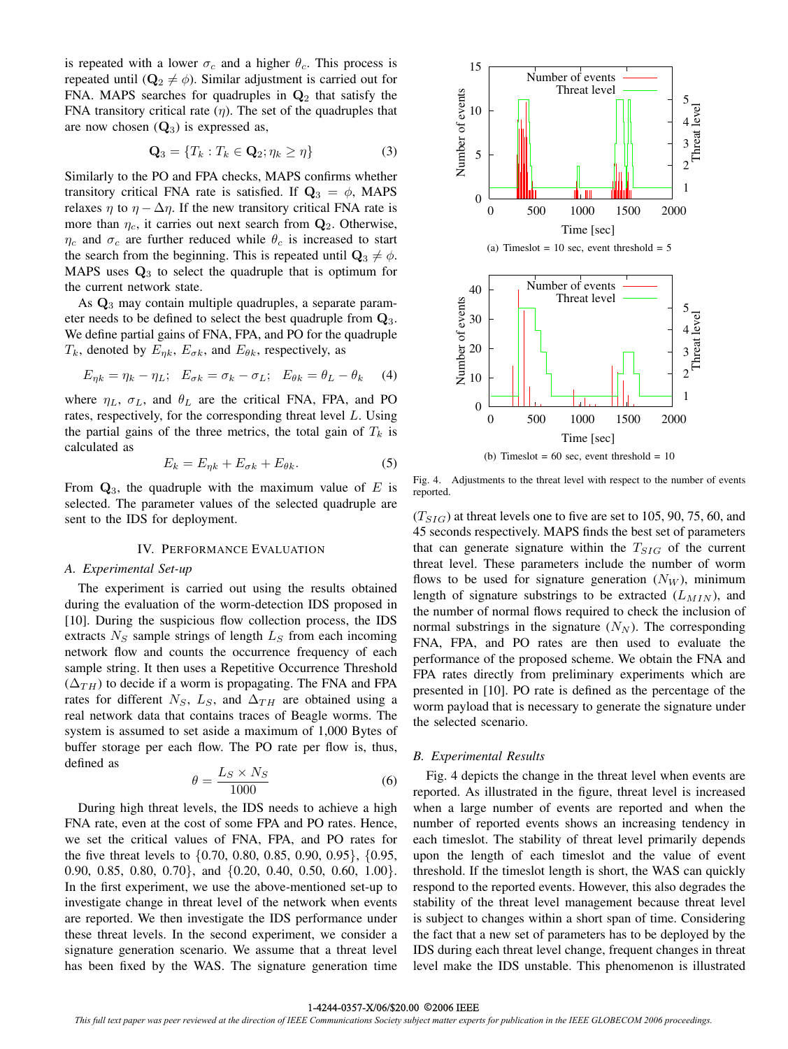is repeated with a lower  $\sigma_c$  and a higher  $\theta_c$ . This process is repeated until  $(Q_2 \neq \phi)$ . Similar adjustment is carried out for FNA. MAPS searches for quadruples in **Q**<sup>2</sup> that satisfy the FNA transitory critical rate  $(\eta)$ . The set of the quadruples that are now chosen  $(Q_3)$  is expressed as,

$$
\mathbf{Q}_3 = \{T_k : T_k \in \mathbf{Q}_2; \eta_k \ge \eta\}
$$
 (3)

Similarly to the PO and FPA checks, MAPS confirms whether transitory critical FNA rate is satisfied. If  $\mathbf{Q}_3 = \phi$ , MAPS relaxes  $\eta$  to  $\eta - \Delta \eta$ . If the new transitory critical FNA rate is more than  $\eta_c$ , it carries out next search from  $\mathbf{Q}_2$ . Otherwise,  $\eta_c$  and  $\sigma_c$  are further reduced while  $\theta_c$  is increased to start the search from the beginning. This is repeated until  $\mathbf{Q}_3 \neq \phi$ . MAPS uses  $Q_3$  to select the quadruple that is optimum for the current network state.

As **Q**<sup>3</sup> may contain multiple quadruples, a separate parameter needs to be defined to select the best quadruple from **Q**3. We define partial gains of FNA, FPA, and PO for the quadruple  $T_k$ , denoted by  $E_{nk}$ ,  $E_{\sigma k}$ , and  $E_{\theta k}$ , respectively, as

$$
E_{\eta k} = \eta_k - \eta_L; \quad E_{\sigma k} = \sigma_k - \sigma_L; \quad E_{\theta k} = \theta_L - \theta_k \tag{4}
$$

where  $\eta_L$ ,  $\sigma_L$ , and  $\theta_L$  are the critical FNA, FPA, and PO rates, respectively, for the corresponding threat level L. Using the partial gains of the three metrics, the total gain of  $T_k$  is calculated as

$$
E_k = E_{\eta k} + E_{\sigma k} + E_{\theta k}.
$$
 (5)

From  $\mathbf{Q}_3$ , the quadruple with the maximum value of E is selected. The parameter values of the selected quadruple are sent to the IDS for deployment.

## IV. PERFORMANCE EVALUATION

## *A. Experimental Set-up*

The experiment is carried out using the results obtained during the evaluation of the worm-detection IDS proposed in [10]. During the suspicious flow collection process, the IDS extracts  $N<sub>S</sub>$  sample strings of length  $L<sub>S</sub>$  from each incoming network flow and counts the occurrence frequency of each sample string. It then uses a Repetitive Occurrence Threshold  $(\Delta_{TH})$  to decide if a worm is propagating. The FNA and FPA rates for different  $N_S$ ,  $L_S$ , and  $\Delta_{TH}$  are obtained using a real network data that contains traces of Beagle worms. The system is assumed to set aside a maximum of 1,000 Bytes of buffer storage per each flow. The PO rate per flow is, thus, defined as

$$
\theta = \frac{L_S \times N_S}{1000} \tag{6}
$$

During high threat levels, the IDS needs to achieve a high FNA rate, even at the cost of some FPA and PO rates. Hence, we set the critical values of FNA, FPA, and PO rates for the five threat levels to {0.70, 0.80, 0.85, 0.90, 0.95}, {0.95, 0.90, 0.85, 0.80, 0.70}, and {0.20, 0.40, 0.50, 0.60, 1.00}. In the first experiment, we use the above-mentioned set-up to investigate change in threat level of the network when events are reported. We then investigate the IDS performance under these threat levels. In the second experiment, we consider a signature generation scenario. We assume that a threat level has been fixed by the WAS. The signature generation time



Fig. 4. Adjustments to the threat level with respect to the number of events reported.

 $(T_{SIG})$  at threat levels one to five are set to 105, 90, 75, 60, and 45 seconds respectively. MAPS finds the best set of parameters that can generate signature within the  $T_{SIG}$  of the current threat level. These parameters include the number of worm flows to be used for signature generation  $(N_W)$ , minimum length of signature substrings to be extracted  $(L_{MIN})$ , and the number of normal flows required to check the inclusion of normal substrings in the signature  $(N_N)$ . The corresponding FNA, FPA, and PO rates are then used to evaluate the performance of the proposed scheme. We obtain the FNA and FPA rates directly from preliminary experiments which are presented in [10]. PO rate is defined as the percentage of the worm payload that is necessary to generate the signature under the selected scenario.

#### *B. Experimental Results*

Fig. 4 depicts the change in the threat level when events are reported. As illustrated in the figure, threat level is increased when a large number of events are reported and when the number of reported events shows an increasing tendency in each timeslot. The stability of threat level primarily depends upon the length of each timeslot and the value of event threshold. If the timeslot length is short, the WAS can quickly respond to the reported events. However, this also degrades the stability of the threat level management because threat level is subject to changes within a short span of time. Considering the fact that a new set of parameters has to be deployed by the IDS during each threat level change, frequent changes in threat level make the IDS unstable. This phenomenon is illustrated

#### 1-4244-0357-X/06/\$20.00 2006 IEEE ©